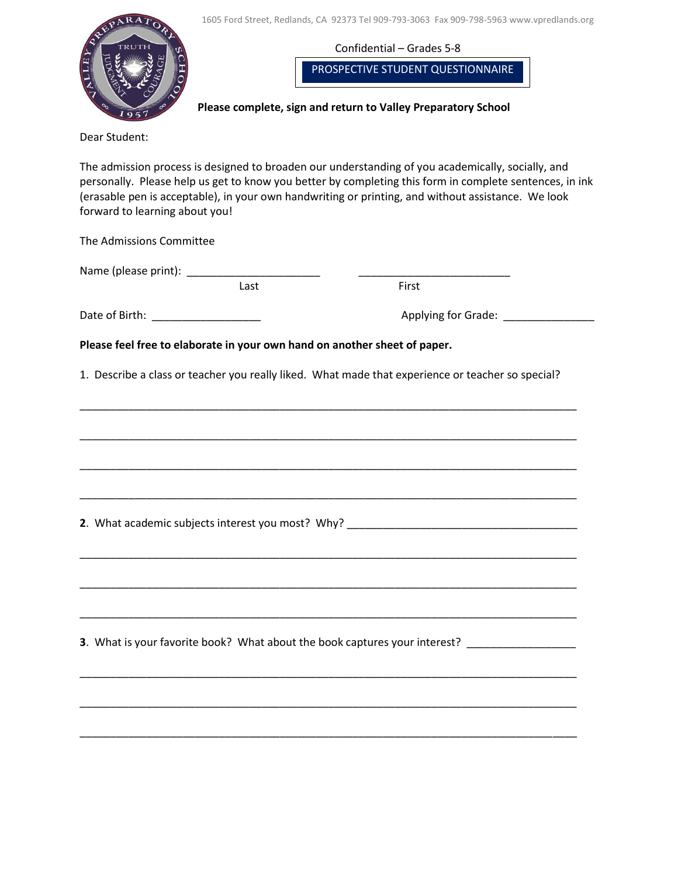

**Please complete, sign and return to Valley Preparatory School**

Dear Student:

The admission process is designed to broaden our understanding of you academically, socially, and personally. Please help us get to know you better by completing this form in complete sentences, in ink (erasable pen is acceptable), in your own handwriting or printing, and without assistance. We look forward to learning about you!

The Admissions Committee

|                                   | Last | First                                                                                                                  |
|-----------------------------------|------|------------------------------------------------------------------------------------------------------------------------|
| Date of Birth: __________________ |      | Applying for Grade: _______________                                                                                    |
|                                   |      | Please feel free to elaborate in your own hand on another sheet of paper.                                              |
|                                   |      | 1. Describe a class or teacher you really liked. What made that experience or teacher so special?                      |
|                                   |      | <u> 1989 - Johann John Stone, markin sanadi amerikan bahasa dalam berasal dalam berasal dalam berasal dalam berasa</u> |
|                                   |      |                                                                                                                        |
|                                   |      |                                                                                                                        |
|                                   |      |                                                                                                                        |
|                                   |      |                                                                                                                        |
|                                   |      | 2. What academic subjects interest you most? Why? ______________________________                                       |
|                                   |      | <u> 1989 - Johann Stoff, deutscher Stoff, der Stoff, der Stoff, der Stoff, der Stoff, der Stoff, der Stoff, der S</u>  |
|                                   |      |                                                                                                                        |
|                                   |      |                                                                                                                        |
|                                   |      | 3. What is your favorite book? What about the book captures your interest? ________________________                    |
|                                   |      |                                                                                                                        |
|                                   |      |                                                                                                                        |
|                                   |      |                                                                                                                        |
|                                   |      |                                                                                                                        |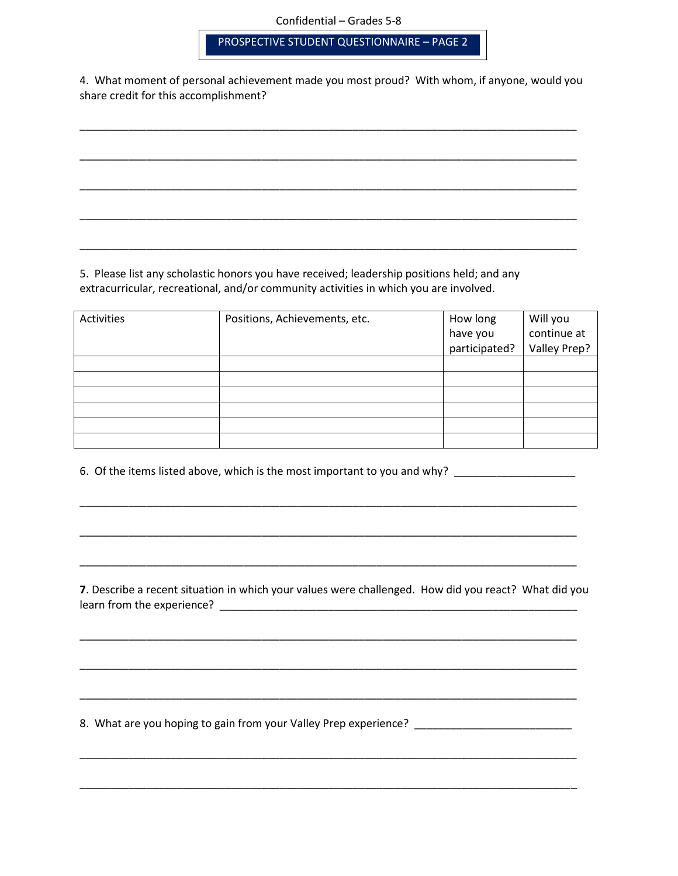PROSPECTIVE STUDENT QUESTIONNAIRE – PAGE 2

4. What moment of personal achievement made you most proud? With whom, if anyone, would you share credit for this accomplishment?

\_\_\_\_\_\_\_\_\_\_\_\_\_\_\_\_\_\_\_\_\_\_\_\_\_\_\_\_\_\_\_\_\_\_\_\_\_\_\_\_\_\_\_\_\_\_\_\_\_\_\_\_\_\_\_\_\_\_\_\_\_\_\_\_\_\_\_\_\_\_\_\_\_\_\_\_\_\_\_\_\_\_

\_\_\_\_\_\_\_\_\_\_\_\_\_\_\_\_\_\_\_\_\_\_\_\_\_\_\_\_\_\_\_\_\_\_\_\_\_\_\_\_\_\_\_\_\_\_\_\_\_\_\_\_\_\_\_\_\_\_\_\_\_\_\_\_\_\_\_\_\_\_\_\_\_\_\_\_\_\_\_\_\_\_

\_\_\_\_\_\_\_\_\_\_\_\_\_\_\_\_\_\_\_\_\_\_\_\_\_\_\_\_\_\_\_\_\_\_\_\_\_\_\_\_\_\_\_\_\_\_\_\_\_\_\_\_\_\_\_\_\_\_\_\_\_\_\_\_\_\_\_\_\_\_\_\_\_\_\_\_\_\_\_\_\_\_

\_\_\_\_\_\_\_\_\_\_\_\_\_\_\_\_\_\_\_\_\_\_\_\_\_\_\_\_\_\_\_\_\_\_\_\_\_\_\_\_\_\_\_\_\_\_\_\_\_\_\_\_\_\_\_\_\_\_\_\_\_\_\_\_\_\_\_\_\_\_\_\_\_\_\_\_\_\_\_\_\_\_

\_\_\_\_\_\_\_\_\_\_\_\_\_\_\_\_\_\_\_\_\_\_\_\_\_\_\_\_\_\_\_\_\_\_\_\_\_\_\_\_\_\_\_\_\_\_\_\_\_\_\_\_\_\_\_\_\_\_\_\_\_\_\_\_\_\_\_\_\_\_\_\_\_\_\_\_\_\_\_\_\_\_

5. Please list any scholastic honors you have received; leadership positions held; and any extracurricular, recreational, and/or community activities in which you are involved.

| Activities | Positions, Achievements, etc. | How long      | Will you            |  |
|------------|-------------------------------|---------------|---------------------|--|
|            |                               | have you      | continue at         |  |
|            |                               | participated? | <b>Valley Prep?</b> |  |
|            |                               |               |                     |  |
|            |                               |               |                     |  |
|            |                               |               |                     |  |
|            |                               |               |                     |  |
|            |                               |               |                     |  |
|            |                               |               |                     |  |

6. Of the items listed above, which is the most important to you and why? \_\_\_\_\_\_\_\_\_\_\_\_\_\_\_\_\_\_\_\_\_\_\_\_\_\_

**7**. Describe a recent situation in which your values were challenged. How did you react? What did you learn from the experience? \_\_\_\_\_\_\_\_\_\_\_\_\_\_\_\_\_\_\_\_\_\_\_\_\_\_\_\_\_\_\_\_\_\_\_\_\_\_\_\_\_\_\_\_\_\_\_\_\_\_\_\_\_\_\_\_\_\_\_

\_\_\_\_\_\_\_\_\_\_\_\_\_\_\_\_\_\_\_\_\_\_\_\_\_\_\_\_\_\_\_\_\_\_\_\_\_\_\_\_\_\_\_\_\_\_\_\_\_\_\_\_\_\_\_\_\_\_\_\_\_\_\_\_\_\_\_\_\_\_\_\_\_\_\_\_\_\_\_\_\_\_

\_\_\_\_\_\_\_\_\_\_\_\_\_\_\_\_\_\_\_\_\_\_\_\_\_\_\_\_\_\_\_\_\_\_\_\_\_\_\_\_\_\_\_\_\_\_\_\_\_\_\_\_\_\_\_\_\_\_\_\_\_\_\_\_\_\_\_\_\_\_\_\_\_\_\_\_\_\_\_\_\_\_

\_\_\_\_\_\_\_\_\_\_\_\_\_\_\_\_\_\_\_\_\_\_\_\_\_\_\_\_\_\_\_\_\_\_\_\_\_\_\_\_\_\_\_\_\_\_\_\_\_\_\_\_\_\_\_\_\_\_\_\_\_\_\_\_\_\_\_\_\_\_\_\_\_\_\_\_\_\_\_\_\_\_

\_\_\_\_\_\_\_\_\_\_\_\_\_\_\_\_\_\_\_\_\_\_\_\_\_\_\_\_\_\_\_\_\_\_\_\_\_\_\_\_\_\_\_\_\_\_\_\_\_\_\_\_\_\_\_\_\_\_\_\_\_\_\_\_\_\_\_\_\_\_\_\_\_\_\_\_\_\_\_\_\_\_

\_\_\_\_\_\_\_\_\_\_\_\_\_\_\_\_\_\_\_\_\_\_\_\_\_\_\_\_\_\_\_\_\_\_\_\_\_\_\_\_\_\_\_\_\_\_\_\_\_\_\_\_\_\_\_\_\_\_\_\_\_\_\_\_\_\_\_\_\_\_\_\_\_\_\_\_\_\_\_\_\_\_

\_\_\_\_\_\_\_\_\_\_\_\_\_\_\_\_\_\_\_\_\_\_\_\_\_\_\_\_\_\_\_\_\_\_\_\_\_\_\_\_\_\_\_\_\_\_\_\_\_\_\_\_\_\_\_\_\_\_\_\_\_\_\_\_\_\_\_\_\_\_\_\_\_\_\_\_\_\_\_\_\_\_

\_\_\_\_\_\_\_\_\_\_\_\_\_\_\_\_\_\_\_\_\_\_\_\_\_\_\_\_\_\_\_\_\_\_\_\_\_\_\_\_\_\_\_\_\_\_\_\_\_\_\_\_\_\_\_\_\_\_\_\_\_\_\_\_\_\_\_\_\_\_\_\_\_\_\_\_\_\_\_\_\_\_

\_\_\_\_\_\_\_\_\_\_\_\_\_\_\_\_\_\_\_\_\_\_\_\_\_\_\_\_\_\_\_\_\_\_\_\_\_\_\_\_\_\_\_\_\_\_\_\_\_\_\_\_\_\_\_\_\_\_\_\_\_\_\_\_\_\_\_\_\_\_\_\_\_\_\_\_\_\_\_\_\_\_

8. What are you hoping to gain from your Valley Prep experience? \_\_\_\_\_\_\_\_\_\_\_\_\_\_\_\_\_\_\_\_\_\_\_\_\_\_\_\_\_\_\_\_\_\_\_